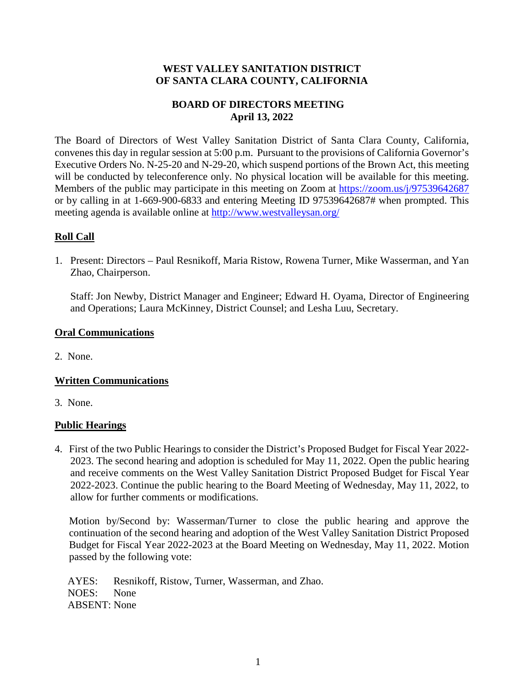## **WEST VALLEY SANITATION DISTRICT OF SANTA CLARA COUNTY, CALIFORNIA**

# **BOARD OF DIRECTORS MEETING April 13, 2022**

The Board of Directors of West Valley Sanitation District of Santa Clara County, California, convenes this day in regular session at 5:00 p.m. Pursuant to the provisions of California Governor's Executive Orders No. N-25-20 and N-29-20, which suspend portions of the Brown Act, this meeting will be conducted by teleconference only. No physical location will be available for this meeting. Members of the public may participate in this meeting on Zoom at<https://zoom.us/j/97539642687> or by calling in at 1-669-900-6833 and entering Meeting ID 97539642687# when prompted. This meeting agenda is available online at<http://www.westvalleysan.org/>

# **Roll Call**

1. Present: Directors – Paul Resnikoff, Maria Ristow, Rowena Turner, Mike Wasserman, and Yan Zhao, Chairperson.

Staff: Jon Newby, District Manager and Engineer; Edward H. Oyama, Director of Engineering and Operations; Laura McKinney, District Counsel; and Lesha Luu, Secretary.

#### **Oral Communications**

2. None.

# **Written Communications**

3. None.

# **Public Hearings**

4. First of the two Public Hearings to consider the District's Proposed Budget for Fiscal Year 2022- 2023. The second hearing and adoption is scheduled for May 11, 2022. Open the public hearing and receive comments on the West Valley Sanitation District Proposed Budget for Fiscal Year 2022-2023. Continue the public hearing to the Board Meeting of Wednesday, May 11, 2022, to allow for further comments or modifications.

Motion by/Second by: Wasserman/Turner to close the public hearing and approve the continuation of the second hearing and adoption of the West Valley Sanitation District Proposed Budget for Fiscal Year 2022-2023 at the Board Meeting on Wednesday, May 11, 2022. Motion passed by the following vote:

 AYES: Resnikoff, Ristow, Turner, Wasserman, and Zhao. NOES: None ABSENT: None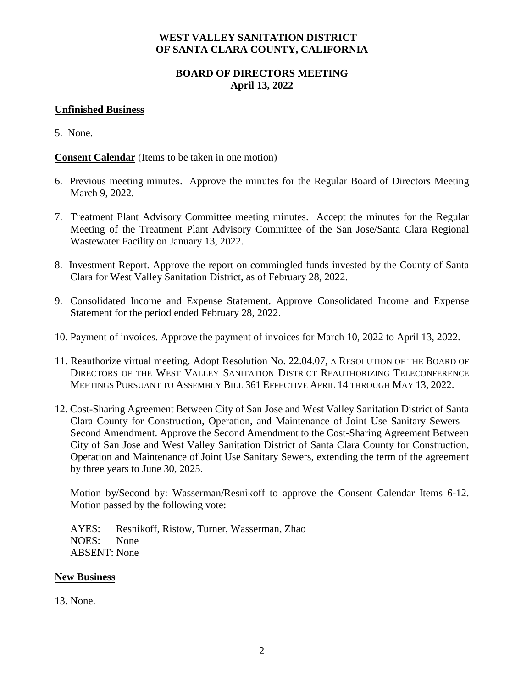## **WEST VALLEY SANITATION DISTRICT OF SANTA CLARA COUNTY, CALIFORNIA**

# **BOARD OF DIRECTORS MEETING April 13, 2022**

#### **Unfinished Business**

5. None.

**Consent Calendar** (Items to be taken in one motion)

- 6. Previous meeting minutes. Approve the minutes for the Regular Board of Directors Meeting March 9, 2022.
- 7. Treatment Plant Advisory Committee meeting minutes. Accept the minutes for the Regular Meeting of the Treatment Plant Advisory Committee of the San Jose/Santa Clara Regional Wastewater Facility on January 13, 2022.
- 8. Investment Report. Approve the report on commingled funds invested by the County of Santa Clara for West Valley Sanitation District, as of February 28, 2022.
- 9. Consolidated Income and Expense Statement. Approve Consolidated Income and Expense Statement for the period ended February 28, 2022.
- 10. Payment of invoices. Approve the payment of invoices for March 10, 2022 to April 13, 2022.
- 11. Reauthorize virtual meeting. Adopt Resolution No. 22.04.07, A RESOLUTION OF THE BOARD OF DIRECTORS OF THE WEST VALLEY SANITATION DISTRICT REAUTHORIZING TELECONFERENCE MEETINGS PURSUANT TO ASSEMBLY BILL 361 EFFECTIVE APRIL 14 THROUGH MAY 13, 2022.
- 12. Cost-Sharing Agreement Between City of San Jose and West Valley Sanitation District of Santa Clara County for Construction, Operation, and Maintenance of Joint Use Sanitary Sewers – Second Amendment. Approve the Second Amendment to the Cost-Sharing Agreement Between City of San Jose and West Valley Sanitation District of Santa Clara County for Construction, Operation and Maintenance of Joint Use Sanitary Sewers, extending the term of the agreement by three years to June 30, 2025.

Motion by/Second by: Wasserman/Resnikoff to approve the Consent Calendar Items 6-12. Motion passed by the following vote:

 AYES: Resnikoff, Ristow, Turner, Wasserman, Zhao NOES: None ABSENT: None

#### **New Business**

13. None.